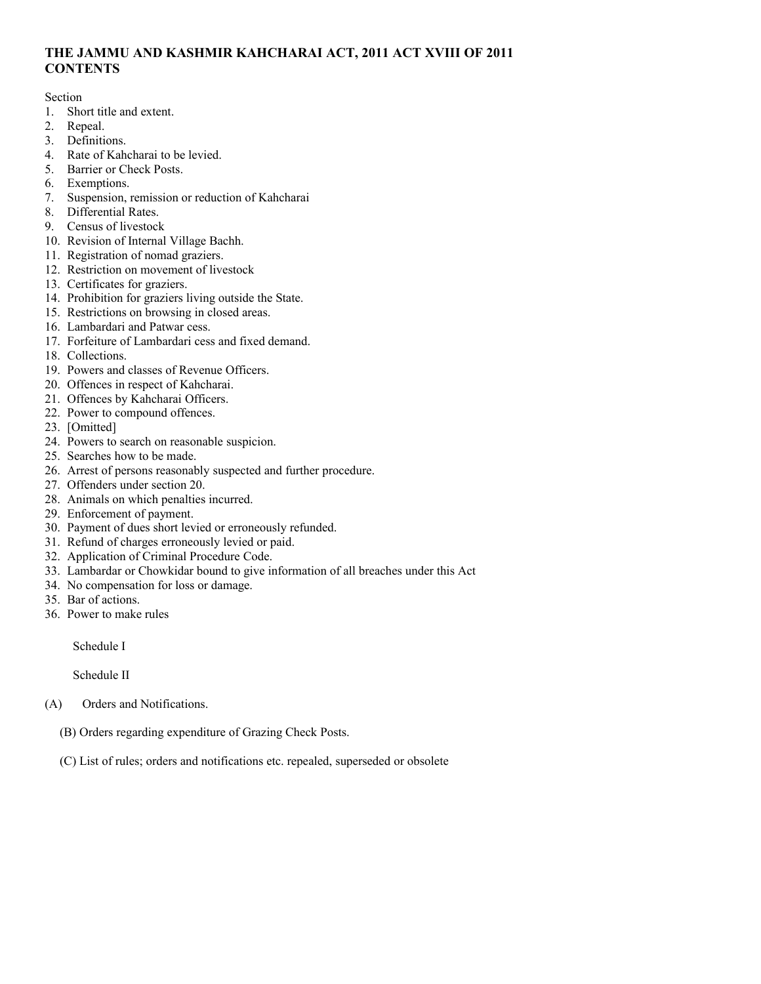# **THE JAMMU AND KASHMIR KAHCHARAI ACT, 2011 ACT XVIII OF 2011 CONTENTS**

Section

- 1. Short title and extent.
- 2. Repeal.
- 3. Definitions.
- 4. Rate of Kahcharai to be levied.
- 5. Barrier or Check Posts.
- 6. Exemptions.
- 7. Suspension, remission or reduction of Kahcharai
- 8. Differential Rates.
- 9. Census of livestock
- 10. Revision of Internal Village Bachh.
- 11. Registration of nomad graziers.
- 12. Restriction on movement of livestock
- 13. Certificates for graziers.
- 14. Prohibition for graziers living outside the State.
- 15. Restrictions on browsing in closed areas.
- 16. Lambardari and Patwar cess.
- 17. Forfeiture of Lambardari cess and fixed demand.
- 18. Collections.
- 19. Powers and classes of Revenue Officers.
- 20. Offences in respect of Kahcharai.
- 21. Offences by Kahcharai Officers.
- 22. Power to compound offences.
- 23. [Omitted]
- 24. Powers to search on reasonable suspicion.
- 25. Searches how to be made.
- 26. Arrest of persons reasonably suspected and further procedure.
- 27. Offenders under section 20.
- 28. Animals on which penalties incurred.
- 29. Enforcement of payment.
- 30. Payment of dues short levied or erroneously refunded.
- 31. Refund of charges erroneously levied or paid.
- 32. Application of Criminal Procedure Code.
- 33. Lambardar or Chowkidar bound to give information of all breaches under this Act
- 34. No compensation for loss or damage.
- 35. Bar of actions.
- 36. Power to make rules

Schedule I

Schedule II

- (A) Orders and Notifications.
	- (B) Orders regarding expenditure of Grazing Check Posts.
	- (C) List of rules; orders and notifications etc. repealed, superseded or obsolete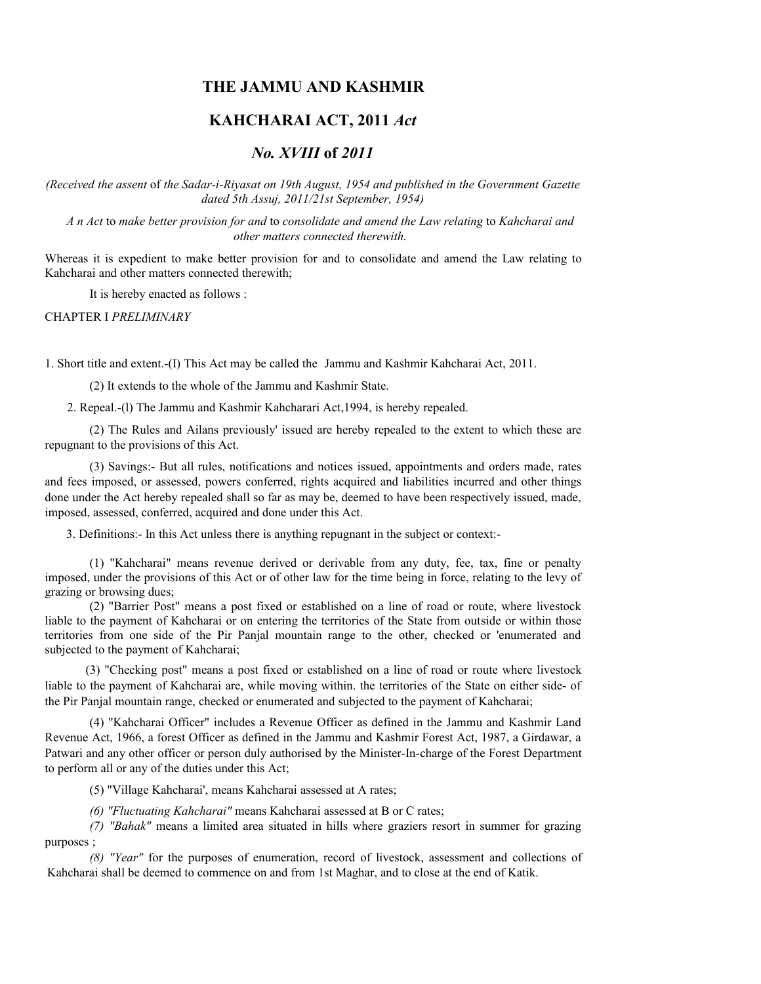# **THE JAMMU AND KASHMIR**

# **KAHCHARAI ACT, 2011** *Act*

# *No. XVIII* **of** *2011*

*(Received the assent* of *the Sadar-i-Riyasat on 19th August, 1954 and published in the Government Gazette dated 5th Assuj, 2011/21st September, 1954)*

*A n Act* to *make better provision for and* to *consolidate and amend the Law relating* to *Kahcharai and other matters connected therewith.*

Whereas it is expedient to make better provision for and to consolidate and amend the Law relating to Kahcharai and other matters connected therewith;

It is hereby enacted as follows :

CHAPTER I *PRELIMINARY*

1. Short title and extent.-(I) This Act may be called the Jammu and Kashmir Kahcharai Act, 2011.

(2) It extends to the whole of the Jammu and Kashmir State.

2. Repeal.-(l) The Jammu and Kashmir Kahcharari Act,1994, is hereby repealed.

(2) The Rules and Ailans previously' issued are hereby repealed to the extent to which these are repugnant to the provisions of this Act.

(3) Savings:- But all rules, notifications and notices issued, appointments and orders made, rates and fees imposed, or assessed, powers conferred, rights acquired and liabilities incurred and other things done under the Act hereby repealed shall so far as may be, deemed to have been respectively issued, made, imposed, assessed, conferred, acquired and done under this Act.

3. Definitions:- In this Act unless there is anything repugnant in the subject or context:-

(1) "Kahcharai" means revenue derived or derivable from any duty, fee, tax, fine or penalty imposed, under the provisions of this Act or of other law for the time being in force, relating to the levy of grazing or browsing dues;

(2) "Barrier Post" means a post fixed or established on a line of road or route, where livestock liable to the payment of Kahcharai or on entering the territories of the State from outside or within those territories from one side of the Pir Panjal mountain range to the other, checked or 'enumerated and subjected to the payment of Kahcharai;

(3) "Checking post" means a post fixed or established on a line of road or route where livestock liable to the payment of Kahcharai are, while moving within. the territories of the State on either side- of the Pir Panjal mountain range, checked or enumerated and subjected to the payment of Kahcharai;

(4) "Kahcharai Officer" includes a Revenue Officer as defined in the Jammu and Kashmir Land Revenue Act, 1966, a forest Officer as defined in the Jammu and Kashmir Forest Act, 1987, a Girdawar, a Patwari and any other officer or person duly authorised by the Minister-In-charge of the Forest Department to perform all or any of the duties under this Act;

(5) "Village Kahcharai', means Kahcharai assessed at A rates;

*(6) "Fluctuating Kahcharai"* means Kahcharai assessed at B or C rates;

*(7) "Bahak"* means a limited area situated in hills where graziers resort in summer for grazing purposes ;

*(8) "Year"* for the purposes of enumeration, record of livestock, assessment and collections of Kahcharai shall be deemed to commence on and from 1st Maghar, and to close at the end of Katik.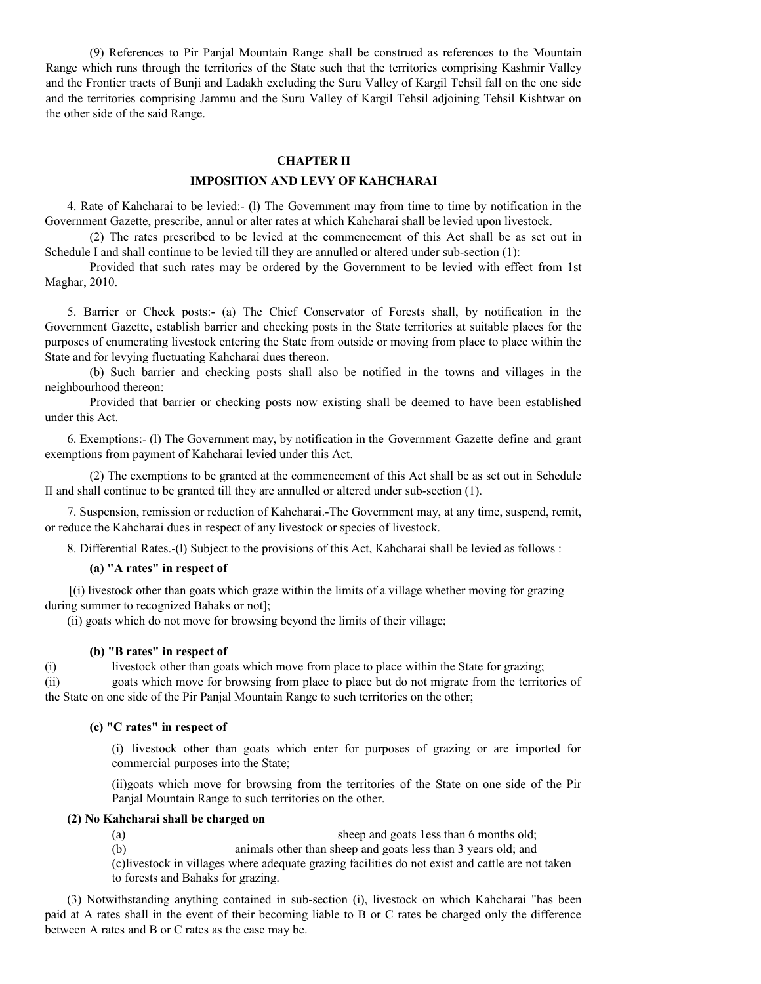(9) References to Pir Panjal Mountain Range shall be construed as references to the Mountain Range which runs through the territories of the State such that the territories comprising Kashmir Valley and the Frontier tracts of Bunji and Ladakh excluding the Suru Valley of Kargil Tehsil fall on the one side and the territories comprising Jammu and the Suru Valley of Kargil Tehsil adjoining Tehsil Kishtwar on the other side of the said Range.

#### **CHAPTER II**

#### **IMPOSITION AND LEVY OF KAHCHARAI**

4. Rate of Kahcharai to be levied:- (l) The Government may from time to time by notification in the Government Gazette, prescribe, annul or alter rates at which Kahcharai shall be levied upon livestock.

(2) The rates prescribed to be levied at the commencement of this Act shall be as set out in Schedule I and shall continue to be levied till they are annulled or altered under sub-section (1):

Provided that such rates may be ordered by the Government to be levied with effect from 1st Maghar, 2010.

5. Barrier or Check posts:- (a) The Chief Conservator of Forests shall, by notification in the Government Gazette, establish barrier and checking posts in the State territories at suitable places for the purposes of enumerating livestock entering the State from outside or moving from place to place within the State and for levying fluctuating Kahcharai dues thereon.

(b) Such barrier and checking posts shall also be notified in the towns and villages in the neighbourhood thereon:

Provided that barrier or checking posts now existing shall be deemed to have been established under this Act.

6. Exemptions:- (l) The Government may, by notification in the Government Gazette define and grant exemptions from payment of Kahcharai levied under this Act.

(2) The exemptions to be granted at the commencement of this Act shall be as set out in Schedule II and shall continue to be granted till they are annulled or altered under sub-section (1).

7. Suspension, remission or reduction of Kahcharai.-The Government may, at any time, suspend, remit, or reduce the Kahcharai dues in respect of any livestock or species of livestock.

8. Differential Rates.-(l) Subject to the provisions of this Act, Kahcharai shall be levied as follows :

### **(a) "A rates" in respect of**

[(i) livestock other than goats which graze within the limits of a village whether moving for grazing during summer to recognized Bahaks or not];

(ii) goats which do not move for browsing beyond the limits of their village;

### **(b) "B rates" in respect of**

(i) livestock other than goats which move from place to place within the State for grazing;

(ii) goats which move for browsing from place to place but do not migrate from the territories of the State on one side of the Pir Panjal Mountain Range to such territories on the other;

# **(c) "C rates" in respect of**

(i) livestock other than goats which enter for purposes of grazing or are imported for commercial purposes into the State;

(ii)goats which move for browsing from the territories of the State on one side of the Pir Panjal Mountain Range to such territories on the other.

### **(2) No Kahcharai shall be charged on**

(a) sheep and goats 1ess than 6 months old;

(b) animals other than sheep and goats less than 3 years old; and

(c)livestock in villages where adequate grazing facilities do not exist and cattle are not taken to forests and Bahaks for grazing.

(3) Notwithstanding anything contained in sub-section (i), livestock on which Kahcharai "has been paid at A rates shall in the event of their becoming liable to B or C rates be charged only the difference between A rates and B or C rates as the case may be.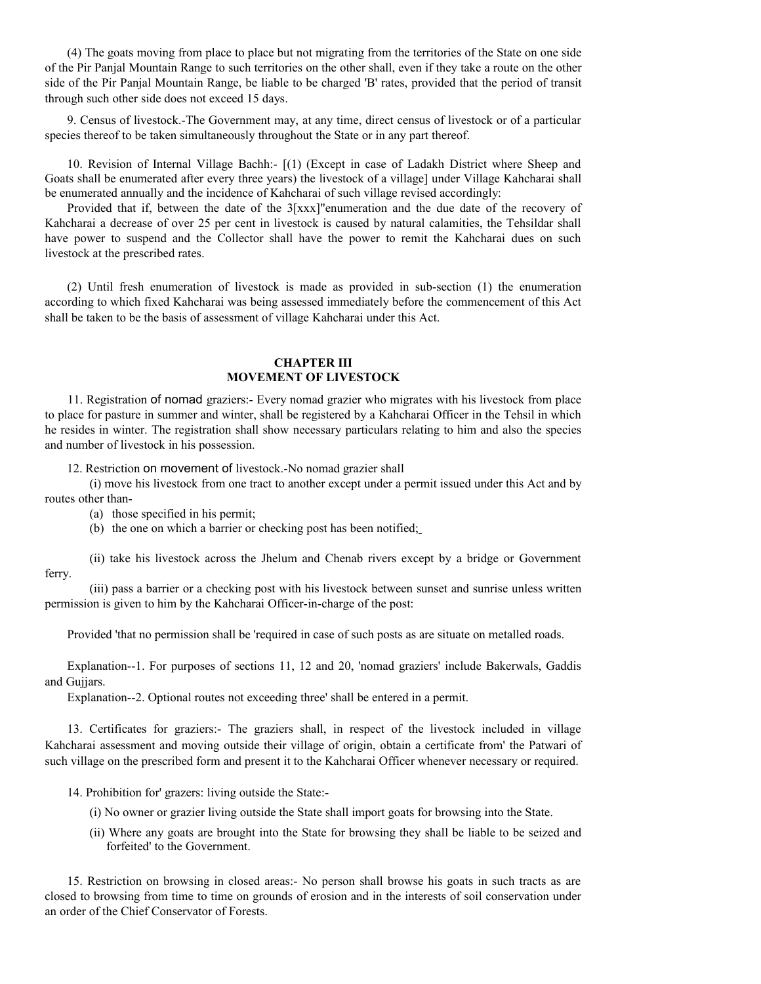(4) The goats moving from place to place but not migrating from the territories of the State on one side of the Pir Panjal Mountain Range to such territories on the other shall, even if they take a route on the other side of the Pir Panjal Mountain Range, be liable to be charged 'B' rates, provided that the period of transit through such other side does not exceed 15 days.

9. Census of livestock.-The Government may, at any time, direct census of livestock or of a particular species thereof to be taken simultaneously throughout the State or in any part thereof.

10. Revision of Internal Village Bachh:- [(1) (Except in case of Ladakh District where Sheep and Goats shall be enumerated after every three years) the livestock of a village] under Village Kahcharai shall be enumerated annually and the incidence of Kahcharai of such village revised accordingly:

Provided that if, between the date of the 3[xxx]"enumeration and the due date of the recovery of Kahcharai a decrease of over 25 per cent in livestock is caused by natural calamities, the Tehsildar shall have power to suspend and the Collector shall have the power to remit the Kahcharai dues on such livestock at the prescribed rates.

(2) Until fresh enumeration of livestock is made as provided in sub-section (1) the enumeration according to which fixed Kahcharai was being assessed immediately before the commencement of this Act shall be taken to be the basis of assessment of village Kahcharai under this Act.

### **CHAPTER III MOVEMENT OF LIVESTOCK**

11. Registration of nomad graziers:- Every nomad grazier who migrates with his livestock from place to place for pasture in summer and winter, shall be registered by a Kahcharai Officer in the Tehsil in which he resides in winter. The registration shall show necessary particulars relating to him and also the species and number of livestock in his possession.

12. Restriction on movement of livestock.-No nomad grazier shall

(i) move his livestock from one tract to another except under a permit issued under this Act and by routes other than-

- (a) those specified in his permit;
- (b) the one on which a barrier or checking post has been notified;

(ii) take his livestock across the Jhelum and Chenab rivers except by a bridge or Government ferry.

(iii) pass a barrier or a checking post with his livestock between sunset and sunrise unless written permission is given to him by the Kahcharai Officer-in-charge of the post:

Provided 'that no permission shall be 'required in case of such posts as are situate on metalled roads.

Explanation--1. For purposes of sections 11, 12 and 20, 'nomad graziers' include Bakerwals, Gaddis and Gujjars.

Explanation--2. Optional routes not exceeding three' shall be entered in a permit.

13. Certificates for graziers:- The graziers shall, in respect of the livestock included in village Kahcharai assessment and moving outside their village of origin, obtain a certificate from' the Patwari of such village on the prescribed form and present it to the Kahcharai Officer whenever necessary or required.

14. Prohibition for' grazers: living outside the State:-

- (i) No owner or grazier living outside the State shall import goats for browsing into the State.
- (ii) Where any goats are brought into the State for browsing they shall be liable to be seized and forfeited' to the Government.

15. Restriction on browsing in closed areas:- No person shall browse his goats in such tracts as are closed to browsing from time to time on grounds of erosion and in the interests of soil conservation under an order of the Chief Conservator of Forests.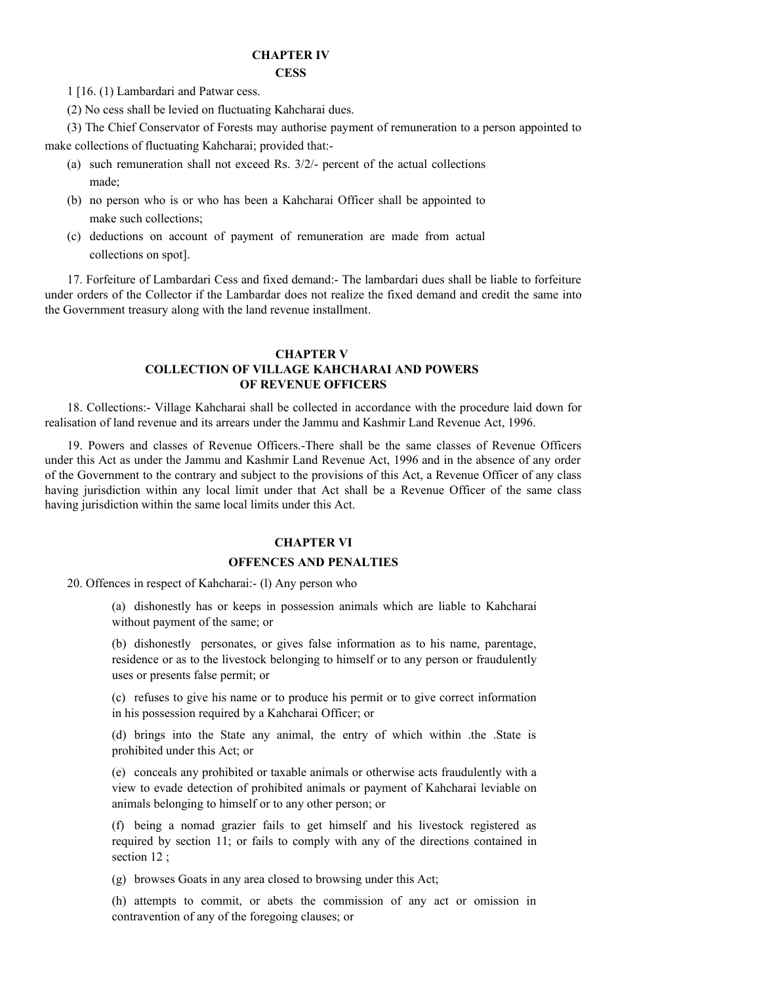### **CHAPTER IV CESS**

1 [16. (1) Lambardari and Patwar cess.

(2) No cess shall be levied on fluctuating Kahcharai dues.

(3) The Chief Conservator of Forests may authorise payment of remuneration to a person appointed to make collections of fluctuating Kahcharai; provided that:-

- (a) such remuneration shall not exceed Rs. 3/2/- percent of the actual collections made;
- (b) no person who is or who has been a Kahcharai Officer shall be appointed to make such collections;
- (c) deductions on account of payment of remuneration are made from actual collections on spot].

17. Forfeiture of Lambardari Cess and fixed demand:- The lambardari dues shall be liable to forfeiture under orders of the Collector if the Lambardar does not realize the fixed demand and credit the same into the Government treasury along with the land revenue installment.

# **CHAPTER V COLLECTION OF VILLAGE KAHCHARAI AND POWERS OF REVENUE OFFICERS**

18. Collections:- Village Kahcharai shall be collected in accordance with the procedure laid down for realisation of land revenue and its arrears under the Jammu and Kashmir Land Revenue Act, 1996.

19. Powers and classes of Revenue Officers.-There shall be the same classes of Revenue Officers under this Act as under the Jammu and Kashmir Land Revenue Act, 1996 and in the absence of any order of the Government to the contrary and subject to the provisions of this Act, a Revenue Officer of any class having jurisdiction within any local limit under that Act shall be a Revenue Officer of the same class having jurisdiction within the same local limits under this Act.

### **CHAPTER VI**

### **OFFENCES AND PENALTIES**

20. Offences in respect of Kahcharai:- (l) Any person who

(a) dishonestly has or keeps in possession animals which are liable to Kahcharai without payment of the same; or

(b) dishonestly personates, or gives false information as to his name, parentage, residence or as to the livestock belonging to himself or to any person or fraudulently uses or presents false permit; or

(c) refuses to give his name or to produce his permit or to give correct information in his possession required by a Kahcharai Officer; or

(d) brings into the State any animal, the entry of which within .the .State is prohibited under this Act; or

(e) conceals any prohibited or taxable animals or otherwise acts fraudulently with a view to evade detection of prohibited animals or payment of Kahcharai leviable on animals belonging to himself or to any other person; or

(f) being a nomad grazier fails to get himself and his livestock registered as required by section 11; or fails to comply with any of the directions contained in section 12 :

(g) browses Goats in any area closed to browsing under this Act;

(h) attempts to commit, or abets the commission of any act or omission in contravention of any of the foregoing clauses; or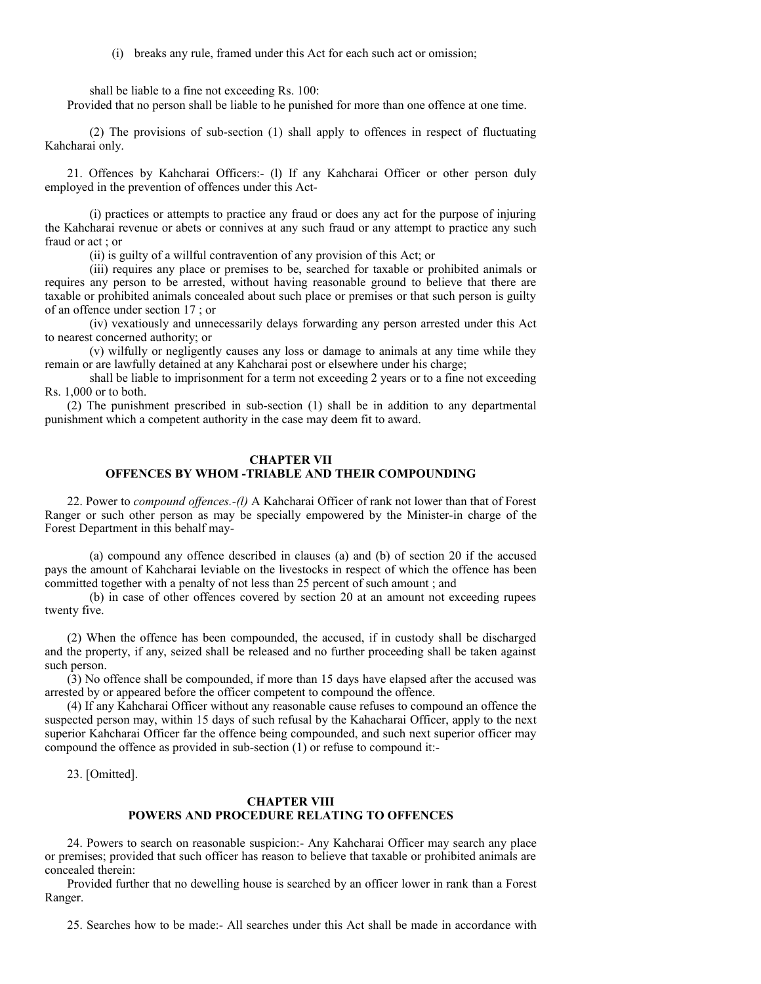(i) breaks any rule, framed under this Act for each such act or omission;

shall be liable to a fine not exceeding Rs. 100:

Provided that no person shall be liable to he punished for more than one offence at one time.

(2) The provisions of sub-section (1) shall apply to offences in respect of fluctuating Kahcharai only.

21. Offences by Kahcharai Officers:- (l) If any Kahcharai Officer or other person duly employed in the prevention of offences under this Act-

(i) practices or attempts to practice any fraud or does any act for the purpose of injuring the Kahcharai revenue or abets or connives at any such fraud or any attempt to practice any such fraud or act ; or

(ii) is guilty of a willful contravention of any provision of this Act; or

(iii) requires any place or premises to be, searched for taxable or prohibited animals or requires any person to be arrested, without having reasonable ground to believe that there are taxable or prohibited animals concealed about such place or premises or that such person is guilty of an offence under section 17 ; or

(iv) vexatiously and unnecessarily delays forwarding any person arrested under this Act to nearest concerned authority; or

(v) wilfully or negligently causes any loss or damage to animals at any time while they remain or are lawfully detained at any Kahcharai post or elsewhere under his charge;

shall be liable to imprisonment for a term not exceeding 2 years or to a fine not exceeding Rs. 1,000 or to both.

(2) The punishment prescribed in sub-section (1) shall be in addition to any departmental punishment which a competent authority in the case may deem fit to award.

#### **CHAPTER VII OFFENCES BY WHOM -TRIABLE AND THEIR COMPOUNDING**

22. Power to *compound offences.-(l)* A Kahcharai Officer of rank not lower than that of Forest Ranger or such other person as may be specially empowered by the Minister-in charge of the Forest Department in this behalf may-

(a) compound any offence described in clauses (a) and (b) of section 20 if the accused pays the amount of Kahcharai leviable on the livestocks in respect of which the offence has been committed together with a penalty of not less than 25 percent of such amount ; and

(b) in case of other offences covered by section 20 at an amount not exceeding rupees twenty five.

(2) When the offence has been compounded, the accused, if in custody shall be discharged and the property, if any, seized shall be released and no further proceeding shall be taken against such person.

(3) No offence shall be compounded, if more than 15 days have elapsed after the accused was arrested by or appeared before the officer competent to compound the offence.

(4) If any Kahcharai Officer without any reasonable cause refuses to compound an offence the suspected person may, within 15 days of such refusal by the Kahacharai Officer, apply to the next superior Kahcharai Officer far the offence being compounded, and such next superior officer may compound the offence as provided in sub-section (1) or refuse to compound it:-

23. [Omitted].

# **CHAPTER VIII POWERS AND PROCEDURE RELATING TO OFFENCES**

24. Powers to search on reasonable suspicion:- Any Kahcharai Officer may search any place or premises; provided that such officer has reason to believe that taxable or prohibited animals are concealed therein:

Provided further that no dewelling house is searched by an officer lower in rank than a Forest Ranger.

25. Searches how to be made:- All searches under this Act shall be made in accordance with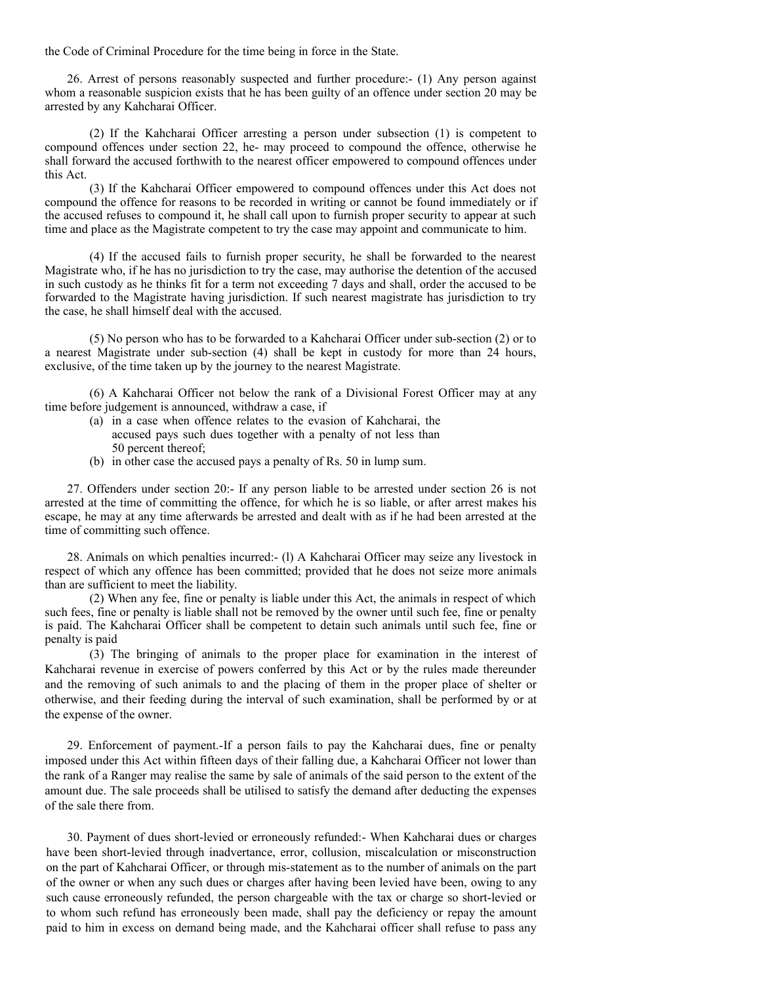the Code of Criminal Procedure for the time being in force in the State.

26. Arrest of persons reasonably suspected and further procedure:- (1) Any person against whom a reasonable suspicion exists that he has been guilty of an offence under section 20 may be arrested by any Kahcharai Officer.

(2) If the Kahcharai Officer arresting a person under subsection (1) is competent to compound offences under section 22, he- may proceed to compound the offence, otherwise he shall forward the accused forthwith to the nearest officer empowered to compound offences under this Act.

(3) If the Kahcharai Officer empowered to compound offences under this Act does not compound the offence for reasons to be recorded in writing or cannot be found immediately or if the accused refuses to compound it, he shall call upon to furnish proper security to appear at such time and place as the Magistrate competent to try the case may appoint and communicate to him.

(4) If the accused fails to furnish proper security, he shall be forwarded to the nearest Magistrate who, if he has no jurisdiction to try the case, may authorise the detention of the accused in such custody as he thinks fit for a term not exceeding 7 days and shall, order the accused to be forwarded to the Magistrate having jurisdiction. If such nearest magistrate has jurisdiction to try the case, he shall himself deal with the accused.

(5) No person who has to be forwarded to a Kahcharai Officer under sub-section (2) or to a nearest Magistrate under sub-section (4) shall be kept in custody for more than 24 hours, exclusive, of the time taken up by the journey to the nearest Magistrate.

(6) A Kahcharai Officer not below the rank of a Divisional Forest Officer may at any time before judgement is announced, withdraw a case, if

- (a) in a case when offence relates to the evasion of Kahcharai, the accused pays such dues together with a penalty of not less than 50 percent thereof;
- (b) in other case the accused pays a penalty of Rs. 50 in lump sum.

27. Offenders under section 20:- If any person liable to be arrested under section 26 is not arrested at the time of committing the offence, for which he is so liable, or after arrest makes his escape, he may at any time afterwards be arrested and dealt with as if he had been arrested at the time of committing such offence.

28. Animals on which penalties incurred:- (l) A Kahcharai Officer may seize any livestock in respect of which any offence has been committed; provided that he does not seize more animals than are sufficient to meet the liability.

(2) When any fee, fine or penalty is liable under this Act, the animals in respect of which such fees, fine or penalty is liable shall not be removed by the owner until such fee, fine or penalty is paid. The Kahcharai Officer shall be competent to detain such animals until such fee, fine or penalty is paid

(3) The bringing of animals to the proper place for examination in the interest of Kahcharai revenue in exercise of powers conferred by this Act or by the rules made thereunder and the removing of such animals to and the placing of them in the proper place of shelter or otherwise, and their feeding during the interval of such examination, shall be performed by or at the expense of the owner.

29. Enforcement of payment.-If a person fails to pay the Kahcharai dues, fine or penalty imposed under this Act within fifteen days of their falling due, a Kahcharai Officer not lower than the rank of a Ranger may realise the same by sale of animals of the said person to the extent of the amount due. The sale proceeds shall be utilised to satisfy the demand after deducting the expenses of the sale there from.

30. Payment of dues short-levied or erroneously refunded:- When Kahcharai dues or charges have been short-levied through inadvertance, error, collusion, miscalculation or misconstruction on the part of Kahcharai Officer, or through mis-statement as to the number of animals on the part of the owner or when any such dues or charges after having been levied have been, owing to any such cause erroneously refunded, the person chargeable with the tax or charge so short-levied or to whom such refund has erroneously been made, shall pay the deficiency or repay the amount paid to him in excess on demand being made, and the Kahcharai officer shall refuse to pass any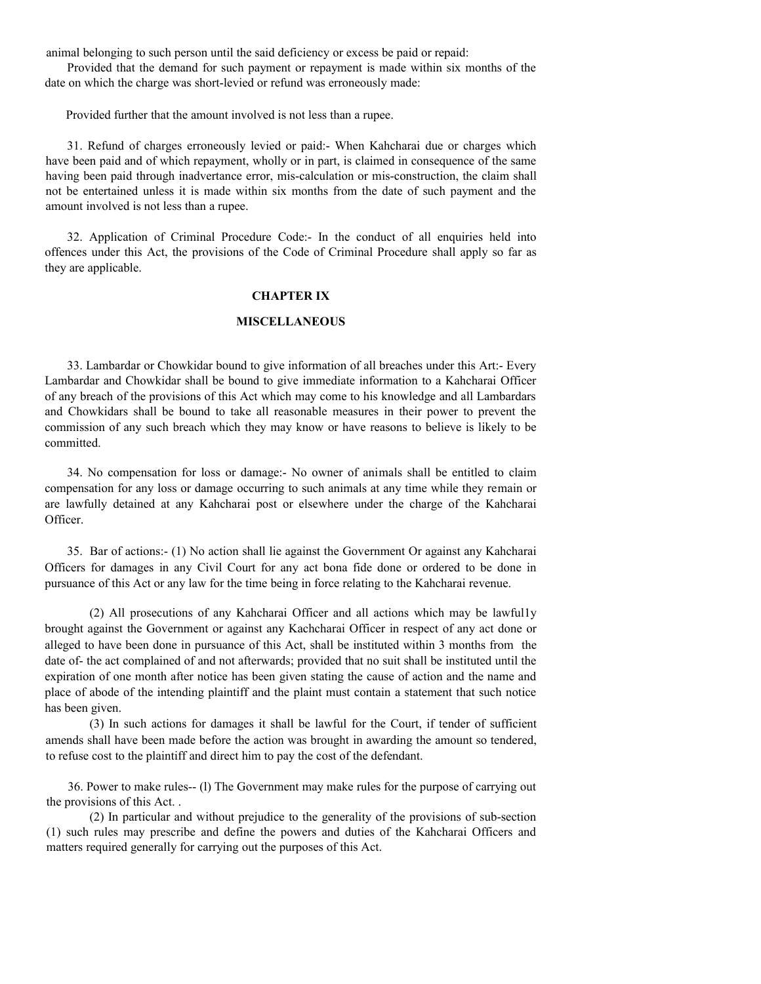animal belonging to such person until the said deficiency or excess be paid or repaid:

Provided that the demand for such payment or repayment is made within six months of the date on which the charge was short-levied or refund was erroneously made:

Provided further that the amount involved is not less than a rupee.

31. Refund of charges erroneously levied or paid:- When Kahcharai due or charges which have been paid and of which repayment, wholly or in part, is claimed in consequence of the same having been paid through inadvertance error, mis-calculation or mis-construction, the claim shall not be entertained unless it is made within six months from the date of such payment and the amount involved is not less than a rupee.

32. Application of Criminal Procedure Code:- In the conduct of all enquiries held into offences under this Act, the provisions of the Code of Criminal Procedure shall apply so far as they are applicable.

### **CHAPTER IX**

### **MISCELLANEOUS**

33. Lambardar or Chowkidar bound to give information of all breaches under this Art:- Every Lambardar and Chowkidar shall be bound to give immediate information to a Kahcharai Officer of any breach of the provisions of this Act which may come to his knowledge and all Lambardars and Chowkidars shall be bound to take all reasonable measures in their power to prevent the commission of any such breach which they may know or have reasons to believe is likely to be committed.

34. No compensation for loss or damage:- No owner of animals shall be entitled to claim compensation for any loss or damage occurring to such animals at any time while they remain or are lawfully detained at any Kahcharai post or elsewhere under the charge of the Kahcharai Officer.

35. Bar of actions:- (1) No action shall lie against the Government Or against any Kahcharai Officers for damages in any Civil Court for any act bona fide done or ordered to be done in pursuance of this Act or any law for the time being in force relating to the Kahcharai revenue.

(2) All prosecutions of any Kahcharai Officer and all actions which may be lawful1y brought against the Government or against any Kachcharai Officer in respect of any act done or alleged to have been done in pursuance of this Act, shall be instituted within 3 months from the date of- the act complained of and not afterwards; provided that no suit shall be instituted until the expiration of one month after notice has been given stating the cause of action and the name and place of abode of the intending plaintiff and the plaint must contain a statement that such notice has been given.

(3) In such actions for damages it shall be lawful for the Court, if tender of sufficient amends shall have been made before the action was brought in awarding the amount so tendered, to refuse cost to the plaintiff and direct him to pay the cost of the defendant.

36. Power to make rules-- (l) The Government may make rules for the purpose of carrying out the provisions of this Act. .

(2) In particular and without prejudice to the generality of the provisions of sub-section (1) such rules may prescribe and define the powers and duties of the Kahcharai Officers and matters required generally for carrying out the purposes of this Act.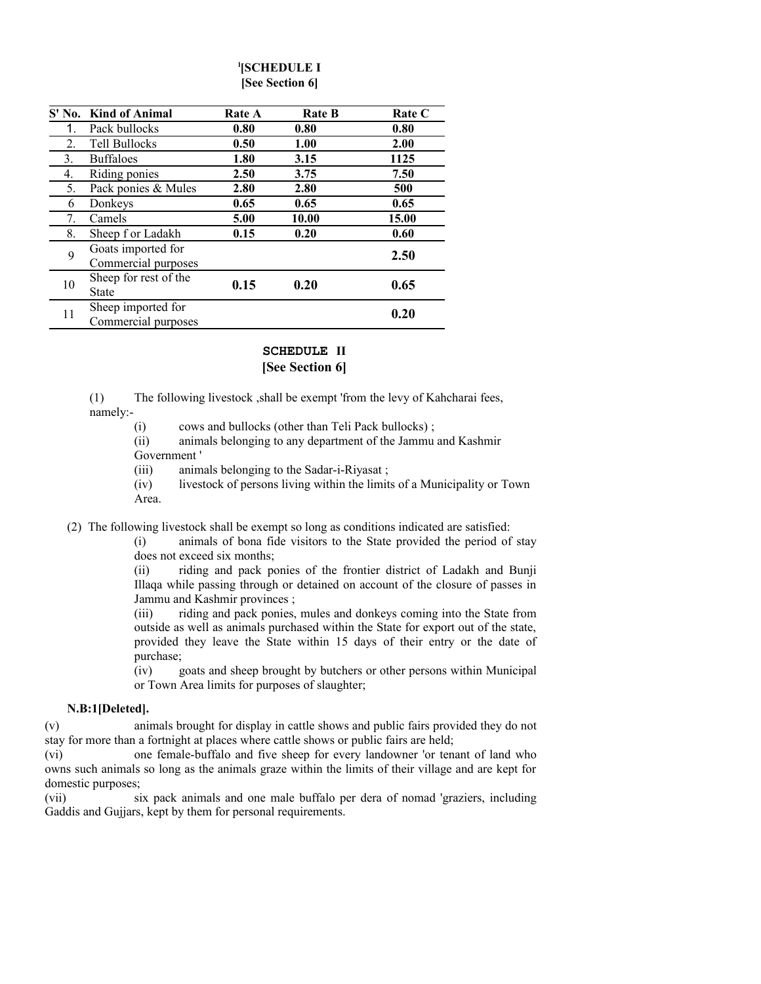# **l [SCHEDULE I [See Section 6]**

|    | S' No. Kind of Animal                     | <b>Rate A</b> | <b>Rate B</b> | <b>Rate C</b> |
|----|-------------------------------------------|---------------|---------------|---------------|
| 1. | Pack bullocks                             | 0.80          | 0.80          | 0.80          |
| 2. | Tell Bullocks                             | 0.50          | 1.00          | 2.00          |
| 3. | <b>Buffaloes</b>                          | 1.80          | 3.15          | 1125          |
| 4. | Riding ponies                             | 2.50          | 3.75          | 7.50          |
| 5. | Pack ponies & Mules                       | 2.80          | 2.80          | 500           |
| 6  | Donkeys                                   | 0.65          | 0.65          | 0.65          |
| 7. | Camels                                    | 5.00          | 10.00         | 15.00         |
| 8. | Sheep f or Ladakh                         | 0.15          | 0.20          | 0.60          |
| 9  | Goats imported for<br>Commercial purposes |               |               | 2.50          |
| 10 | Sheep for rest of the<br>State            | 0.15          | 0.20          | 0.65          |
| 11 | Sheep imported for<br>Commercial purposes |               |               | 0.20          |

# **SCHEDULE II [See Section 6]**

(1) The following livestock ,shall be exempt 'from the levy of Kahcharai fees, namely:-

(i) cows and bullocks (other than Teli Pack bullocks) ;

(ii) animals belonging to any department of the Jammu and Kashmir Government '

(iii) animals belonging to the Sadar-i-Riyasat ;

(iv) livestock of persons living within the limits of a Municipality or Town Area.

(2) The following livestock shall be exempt so long as conditions indicated are satisfied:

(i) animals of bona fide visitors to the State provided the period of stay does not exceed six months;

(ii) riding and pack ponies of the frontier district of Ladakh and Bunji Illaqa while passing through or detained on account of the closure of passes in Jammu and Kashmir provinces ;

(iii) riding and pack ponies, mules and donkeys coming into the State from outside as well as animals purchased within the State for export out of the state, provided they leave the State within 15 days of their entry or the date of purchase;

(iv) goats and sheep brought by butchers or other persons within Municipal or Town Area limits for purposes of slaughter;

# **N.B:1[Deleted].**

(v) animals brought for display in cattle shows and public fairs provided they do not stay for more than a fortnight at places where cattle shows or public fairs are held;

(vi) one female-buffalo and five sheep for every landowner 'or tenant of land who owns such animals so long as the animals graze within the limits of their village and are kept for domestic purposes;

(vii) six pack animals and one male buffalo per dera of nomad 'graziers, including Gaddis and Gujjars, kept by them for personal requirements.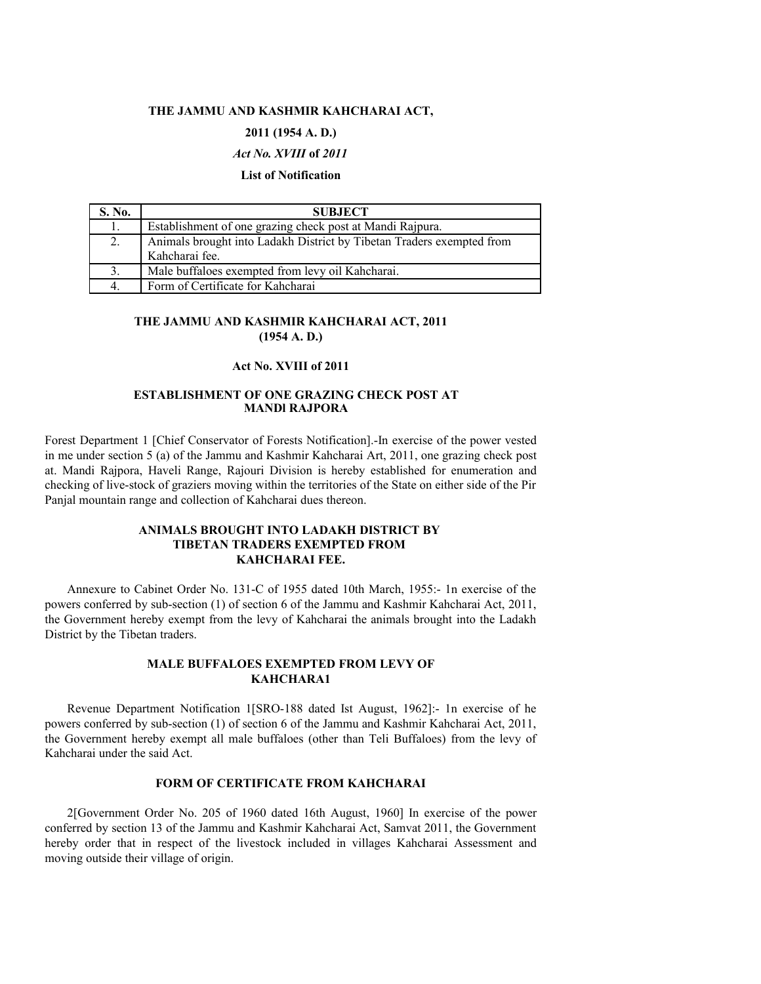#### **THE JAMMU AND KASHMIR KAHCHARAI ACT,**

## **2011 (1954 A. D.)**

### *Act No. XVIII* **of** *2011*

#### **List of Notification**

| S. No. | <b>SUBJECT</b>                                                        |  |
|--------|-----------------------------------------------------------------------|--|
| 1.     | Establishment of one grazing check post at Mandi Rajpura.             |  |
| 2.     | Animals brought into Ladakh District by Tibetan Traders exempted from |  |
|        | Kahcharai fee.                                                        |  |
| 3.     | Male buffaloes exempted from levy oil Kahcharai.                      |  |
| 4.     | Form of Certificate for Kahcharai                                     |  |

#### **THE JAMMU AND KASHMIR KAHCHARAI ACT, 2011 (1954 A. D.)**

#### **Act No. XVIII of 2011**

#### **ESTABLISHMENT OF ONE GRAZING CHECK POST AT MANDl RAJPORA**

Forest Department 1 [Chief Conservator of Forests Notification].-In exercise of the power vested in me under section 5 (a) of the Jammu and Kashmir Kahcharai Art, 2011, one grazing check post at. Mandi Rajpora, Haveli Range, Rajouri Division is hereby established for enumeration and checking of live-stock of graziers moving within the territories of the State on either side of the Pir Panjal mountain range and collection of Kahcharai dues thereon.

# **ANIMALS BROUGHT INTO LADAKH DISTRICT BY TIBETAN TRADERS EXEMPTED FROM KAHCHARAI FEE.**

Annexure to Cabinet Order No. 131-C of 1955 dated 10th March, 1955:- 1n exercise of the powers conferred by sub-section (1) of section 6 of the Jammu and Kashmir Kahcharai Act, 2011, the Government hereby exempt from the levy of Kahcharai the animals brought into the Ladakh District by the Tibetan traders.

## **MALE BUFFALOES EXEMPTED FROM LEVY OF KAHCHARA1**

Revenue Department Notification 1[SRO-188 dated Ist August, 1962]:- 1n exercise of he powers conferred by sub-section (1) of section 6 of the Jammu and Kashmir Kahcharai Act, 2011, the Government hereby exempt all male buffaloes (other than Teli Buffaloes) from the levy of Kahcharai under the said Act.

#### **FORM OF CERTIFICATE FROM KAHCHARAI**

2[Government Order No. 205 of 1960 dated 16th August, 1960] In exercise of the power conferred by section 13 of the Jammu and Kashmir Kahcharai Act, Samvat 2011, the Government hereby order that in respect of the livestock included in villages Kahcharai Assessment and moving outside their village of origin.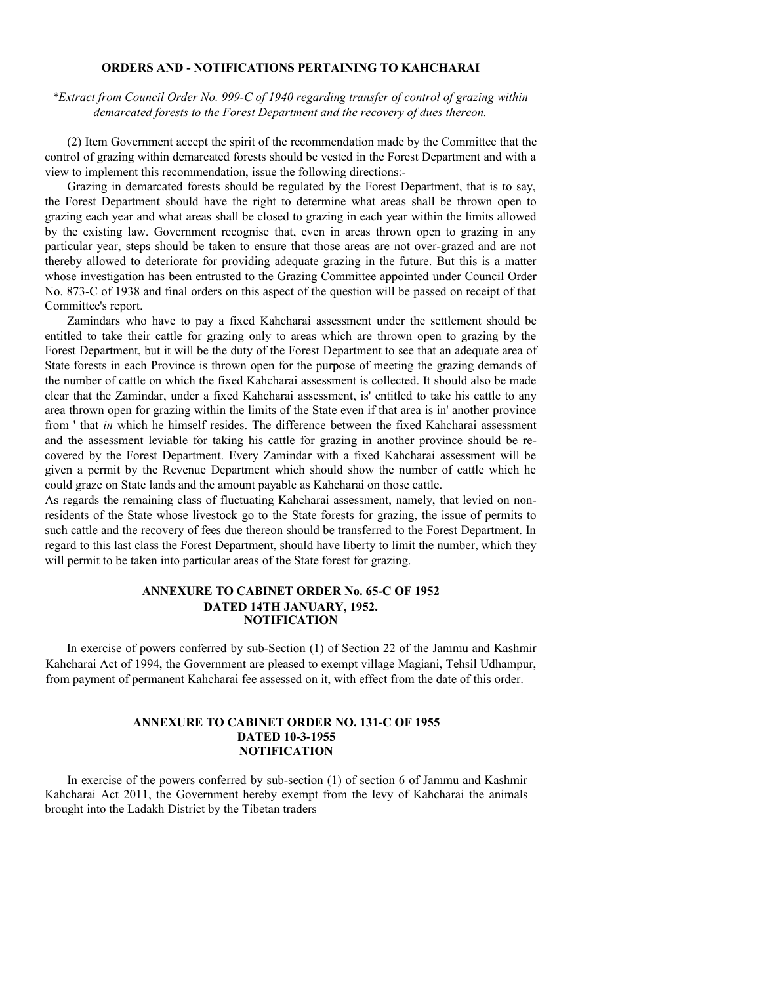### **ORDERS AND - NOTIFICATIONS PERTAINING TO KAHCHARAI**

*\*Extract from Council Order No. 999-C of 1940 regarding transfer of control of grazing within demarcated forests to the Forest Department and the recovery of dues thereon.*

(2) Item Government accept the spirit of the recommendation made by the Committee that the control of grazing within demarcated forests should be vested in the Forest Department and with a view to implement this recommendation, issue the following directions:-

Grazing in demarcated forests should be regulated by the Forest Department, that is to say, the Forest Department should have the right to determine what areas shall be thrown open to grazing each year and what areas shall be closed to grazing in each year within the limits allowed by the existing law. Government recognise that, even in areas thrown open to grazing in any particular year, steps should be taken to ensure that those areas are not over-grazed and are not thereby allowed to deteriorate for providing adequate grazing in the future. But this is a matter whose investigation has been entrusted to the Grazing Committee appointed under Council Order No. 873-C of 1938 and final orders on this aspect of the question will be passed on receipt of that Committee's report.

Zamindars who have to pay a fixed Kahcharai assessment under the settlement should be entitled to take their cattle for grazing only to areas which are thrown open to grazing by the Forest Department, but it will be the duty of the Forest Department to see that an adequate area of State forests in each Province is thrown open for the purpose of meeting the grazing demands of the number of cattle on which the fixed Kahcharai assessment is collected. It should also be made clear that the Zamindar, under a fixed Kahcharai assessment, is' entitled to take his cattle to any area thrown open for grazing within the limits of the State even if that area is in' another province from ' that *in* which he himself resides. The difference between the fixed Kahcharai assessment and the assessment leviable for taking his cattle for grazing in another province should be recovered by the Forest Department. Every Zamindar with a fixed Kahcharai assessment will be given a permit by the Revenue Department which should show the number of cattle which he could graze on State lands and the amount payable as Kahcharai on those cattle.

As regards the remaining class of fluctuating Kahcharai assessment, namely, that levied on nonresidents of the State whose livestock go to the State forests for grazing, the issue of permits to such cattle and the recovery of fees due thereon should be transferred to the Forest Department. In regard to this last class the Forest Department, should have liberty to limit the number, which they will permit to be taken into particular areas of the State forest for grazing.

#### **ANNEXURE TO CABINET ORDER No. 65-C OF 1952 DATED 14TH JANUARY, 1952. NOTIFICATION**

In exercise of powers conferred by sub-Section (1) of Section 22 of the Jammu and Kashmir Kahcharai Act of 1994, the Government are pleased to exempt village Magiani, Tehsil Udhampur, from payment of permanent Kahcharai fee assessed on it, with effect from the date of this order.

## **ANNEXURE TO CABINET ORDER NO. 131-C OF 1955 DATED 10-3-1955 NOTIFICATION**

In exercise of the powers conferred by sub-section (1) of section 6 of Jammu and Kashmir Kahcharai Act 2011, the Government hereby exempt from the levy of Kahcharai the animals brought into the Ladakh District by the Tibetan traders